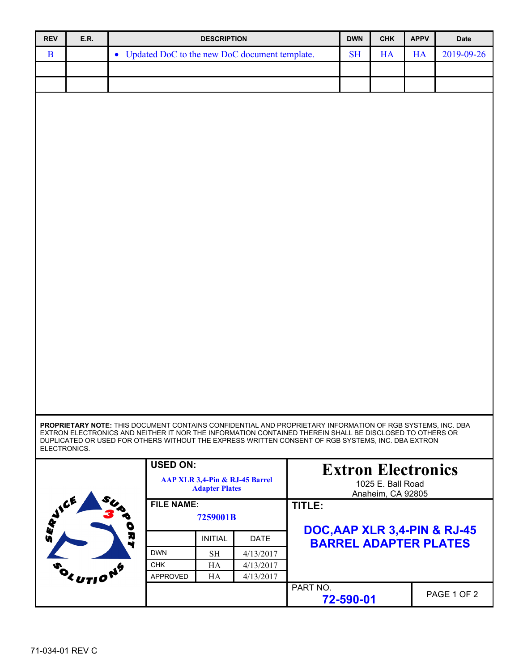| <b>REV</b>    | <b>E.R.</b>                                             |                                                                                                            | <b>DESCRIPTION</b> |                   |                               | <b>DWN</b>                | <b>CHK</b>        | <b>APPV</b> | Date        |  |
|---------------|---------------------------------------------------------|------------------------------------------------------------------------------------------------------------|--------------------|-------------------|-------------------------------|---------------------------|-------------------|-------------|-------------|--|
| B             |                                                         | • Updated DoC to the new DoC document template.                                                            |                    |                   |                               | <b>SH</b>                 | <b>HA</b>         | <b>HA</b>   | 2019-09-26  |  |
|               |                                                         |                                                                                                            |                    |                   |                               |                           |                   |             |             |  |
|               |                                                         |                                                                                                            |                    |                   |                               |                           |                   |             |             |  |
|               |                                                         |                                                                                                            |                    |                   |                               |                           |                   |             |             |  |
|               |                                                         |                                                                                                            |                    |                   |                               |                           |                   |             |             |  |
|               |                                                         |                                                                                                            |                    |                   |                               |                           |                   |             |             |  |
|               |                                                         |                                                                                                            |                    |                   |                               |                           |                   |             |             |  |
|               |                                                         |                                                                                                            |                    |                   |                               |                           |                   |             |             |  |
|               |                                                         |                                                                                                            |                    |                   |                               |                           |                   |             |             |  |
|               |                                                         |                                                                                                            |                    |                   |                               |                           |                   |             |             |  |
|               |                                                         |                                                                                                            |                    |                   |                               |                           |                   |             |             |  |
|               |                                                         |                                                                                                            |                    |                   |                               |                           |                   |             |             |  |
|               |                                                         |                                                                                                            |                    |                   |                               |                           |                   |             |             |  |
|               |                                                         |                                                                                                            |                    |                   |                               |                           |                   |             |             |  |
|               |                                                         |                                                                                                            |                    |                   |                               |                           |                   |             |             |  |
|               |                                                         |                                                                                                            |                    |                   |                               |                           |                   |             |             |  |
|               |                                                         |                                                                                                            |                    |                   |                               |                           |                   |             |             |  |
|               |                                                         |                                                                                                            |                    |                   |                               |                           |                   |             |             |  |
|               |                                                         |                                                                                                            |                    |                   |                               |                           |                   |             |             |  |
|               |                                                         |                                                                                                            |                    |                   |                               |                           |                   |             |             |  |
|               |                                                         |                                                                                                            |                    |                   |                               |                           |                   |             |             |  |
|               |                                                         |                                                                                                            |                    |                   |                               |                           |                   |             |             |  |
|               |                                                         |                                                                                                            |                    |                   |                               |                           |                   |             |             |  |
|               |                                                         |                                                                                                            |                    |                   |                               |                           |                   |             |             |  |
|               |                                                         |                                                                                                            |                    |                   |                               |                           |                   |             |             |  |
|               |                                                         |                                                                                                            |                    |                   |                               |                           |                   |             |             |  |
|               |                                                         |                                                                                                            |                    |                   |                               |                           |                   |             |             |  |
|               |                                                         | PROPRIETARY NOTE: THIS DOCUMENT CONTAINS CONFIDENTIAL AND PROPRIETARY INFORMATION OF RGB SYSTEMS, INC. DBA |                    |                   |                               |                           |                   |             |             |  |
|               |                                                         | EXTRON ELECTRONICS AND NEITHER IT NOR THE INFORMATION CONTAINED THEREIN SHALL BE DISCLOSED TO OTHERS OR    |                    |                   |                               |                           |                   |             |             |  |
| ELECTRONICS.  |                                                         | DUPLICATED OR USED FOR OTHERS WITHOUT THE EXPRESS WRITTEN CONSENT OF RGB SYSTEMS, INC. DBA EXTRON          |                    |                   |                               |                           |                   |             |             |  |
|               |                                                         | <b>USED ON:</b>                                                                                            |                    |                   |                               |                           |                   |             |             |  |
|               |                                                         |                                                                                                            |                    |                   |                               | <b>Extron Electronics</b> |                   |             |             |  |
|               | AAP XLR 3,4-Pin & RJ-45 Barrel<br><b>Adapter Plates</b> |                                                                                                            |                    | 1025 E. Ball Road |                               |                           |                   |             |             |  |
| <b>WAYICE</b> |                                                         |                                                                                                            | <b>FILE NAME:</b>  |                   |                               |                           | Anaheim, CA 92805 |             |             |  |
|               |                                                         |                                                                                                            | 7259001B           |                   |                               |                           |                   |             |             |  |
|               |                                                         |                                                                                                            |                    |                   | DOC, AAP XLR 3, 4-PIN & RJ-45 |                           |                   |             |             |  |
| v             |                                                         | D<br>R<br>ч                                                                                                | <b>INITIAL</b>     | <b>DATE</b>       | <b>BARREL ADAPTER PLATES</b>  |                           |                   |             |             |  |
|               |                                                         | <b>DWN</b>                                                                                                 | <b>SH</b>          | 4/13/2017         |                               |                           |                   |             |             |  |
|               |                                                         | <b>CHK</b>                                                                                                 | HA                 | 4/13/2017         |                               |                           |                   |             |             |  |
|               | EUTIO                                                   | APPROVED                                                                                                   | HA                 | 4/13/2017         |                               |                           |                   |             |             |  |
|               |                                                         |                                                                                                            |                    |                   | PART NO.                      |                           |                   |             | PAGE 1 OF 2 |  |
|               |                                                         |                                                                                                            |                    |                   |                               | 72-590-01                 |                   |             |             |  |